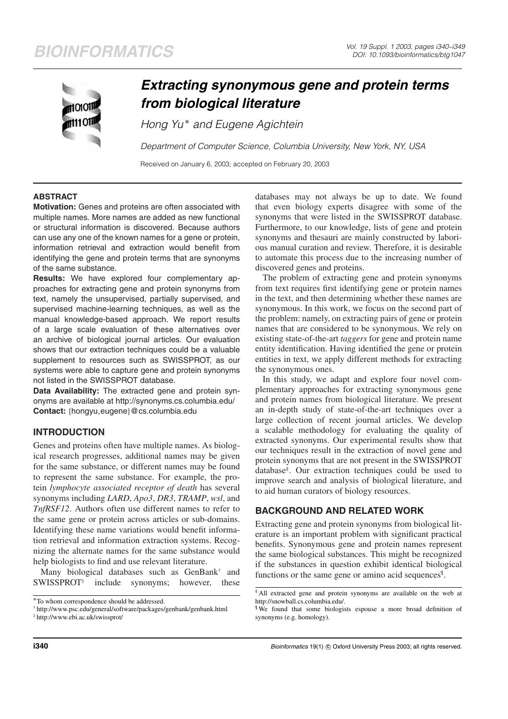

# *Extracting synonymous gene and protein terms from biological literature*

*Hong Yu* <sup>∗</sup> *and Eugene Agichtein*

*Department of Computer Science, Columbia University, New York, NY, USA*

Received on January 6, 2003; accepted on February 20, 2003

# **ABSTRACT**

**Motivation:** Genes and proteins are often associated with multiple names. More names are added as new functional or structural information is discovered. Because authors can use any one of the known names for a gene or protein, information retrieval and extraction would benefit from identifying the gene and protein terms that are synonyms of the same substance.

**Results:** We have explored four complementary approaches for extracting gene and protein synonyms from text, namely the unsupervised, partially supervised, and supervised machine-learning techniques, as well as the manual knowledge-based approach. We report results of a large scale evaluation of these alternatives over an archive of biological journal articles. Our evaluation shows that our extraction techniques could be a valuable supplement to resources such as SWISSPROT, as our systems were able to capture gene and protein synonyms not listed in the SWISSPROT database.

**Data Availability:** The extracted gene and protein synonyms are available at http://synonyms.cs.columbia.edu/ **Contact:** {hongyu,eugene}@cs.columbia.edu

# **INTRODUCTION**

Genes and proteins often have multiple names. As biological research progresses, additional names may be given for the same substance, or different names may be found to represent the same substance. For example, the protein *lymphocyte associated receptor of death* has several synonyms including *LARD*, *Apo3*, *DR3*, *TRAMP*, *wsl*, and *TnfRSF12*. Authors often use different names to refer to the same gene or protein across articles or sub-domains. Identifying these name variations would benefit information retrieval and information extraction systems. Recognizing the alternate names for the same substance would help biologists to find and use relevant literature.

Many biological databases such as GenBank† and  $SWISSPROT<sup>‡</sup>$  include synonyms; however, these

databases may not always be up to date. We found that even biology experts disagree with some of the synonyms that were listed in the SWISSPROT database. Furthermore, to our knowledge, lists of gene and protein synonyms and thesauri are mainly constructed by laborious manual curation and review. Therefore, it is desirable to automate this process due to the increasing number of discovered genes and proteins.

The problem of extracting gene and protein synonyms from text requires first identifying gene or protein names in the text, and then determining whether these names are synonymous. In this work, we focus on the second part of the problem: namely, on extracting pairs of gene or protein names that are considered to be synonymous. We rely on existing state-of-the-art *taggers* for gene and protein name entity identification. Having identified the gene or protein entities in text, we apply different methods for extracting the synonymous ones.

In this study, we adapt and explore four novel complementary approaches for extracting synonymous gene and protein names from biological literature. We present an in-depth study of state-of-the-art techniques over a large collection of recent journal articles. We develop a scalable methodology for evaluating the quality of extracted synonyms. Our experimental results show that our techniques result in the extraction of novel gene and protein synonyms that are not present in the SWISSPROT database§ . Our extraction techniques could be used to improve search and analysis of biological literature, and to aid human curators of biology resources.

# **BACKGROUND AND RELATED WORK**

Extracting gene and protein synonyms from biological literature is an important problem with significant practical benefits. Synonymous gene and protein names represent the same biological substances. This might be recognized if the substances in question exhibit identical biological functions or the same gene or amino acid sequences<sup>*I*</sup>.

**i340 i340 identify identify** *Bioinformatics* 19(1) © Oxford University Press 2003; all rights reserved.

<sup>∗</sup>To whom correspondence should be addressed.

<sup>†</sup> http://www.psc.edu/general/software/packages/genbank/genbank.html

<sup>‡</sup> http://www.ebi.ac.uk/swissprot/

<sup>§</sup> All extracted gene and protein synonyms are available on the web at http://snowball.cs.columbia.edu/.

<sup>¶</sup> We found that some biologists espouse a more broad definition of synonyms (e.g. homology).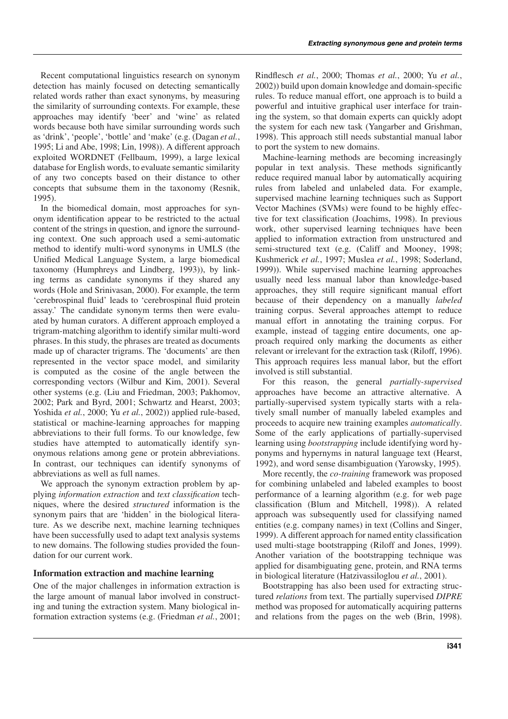Recent computational linguistics research on synonym detection has mainly focused on detecting semantically related words rather than exact synonyms, by measuring the similarity of surrounding contexts. For example, these approaches may identify 'beer' and 'wine' as related words because both have similar surrounding words such as 'drink', 'people', 'bottle' and 'make' (e.g. (Dagan *et al.*, 1995; Li and Abe, 1998; Lin, 1998)). A different approach exploited WORDNET (Fellbaum, 1999), a large lexical database for English words, to evaluate semantic similarity of any two concepts based on their distance to other concepts that subsume them in the taxonomy (Resnik, 1995).

In the biomedical domain, most approaches for synonym identification appear to be restricted to the actual content of the strings in question, and ignore the surrounding context. One such approach used a semi-automatic method to identify multi-word synonyms in UMLS (the Unified Medical Language System, a large biomedical taxonomy (Humphreys and Lindberg, 1993)), by linking terms as candidate synonyms if they shared any words (Hole and Srinivasan, 2000). For example, the term 'cerebrospinal fluid' leads to 'cerebrospinal fluid protein assay.' The candidate synonym terms then were evaluated by human curators. A different approach employed a trigram-matching algorithm to identify similar multi-word phrases. In this study, the phrases are treated as documents made up of character trigrams. The 'documents' are then represented in the vector space model, and similarity is computed as the cosine of the angle between the corresponding vectors (Wilbur and Kim, 2001). Several other systems (e.g. (Liu and Friedman, 2003; Pakhomov, 2002; Park and Byrd, 2001; Schwartz and Hearst, 2003; Yoshida *et al.*, 2000; Yu *et al.*, 2002)) applied rule-based, statistical or machine-learning approaches for mapping abbreviations to their full forms. To our knowledge, few studies have attempted to automatically identify synonymous relations among gene or protein abbreviations. In contrast, our techniques can identify synonyms of abbreviations as well as full names.

We approach the synonym extraction problem by applying *information extraction* and *text classification* techniques, where the desired *structured* information is the synonym pairs that are 'hidden' in the biological literature. As we describe next, machine learning techniques have been successfully used to adapt text analysis systems to new domains. The following studies provided the foundation for our current work.

## **Information extraction and machine learning**

One of the major challenges in information extraction is the large amount of manual labor involved in constructing and tuning the extraction system. Many biological information extraction systems (e.g. (Friedman *et al.*, 2001; Rindflesch *et al.*, 2000; Thomas *et al.*, 2000; Yu *et al.*, 2002)) build upon domain knowledge and domain-specific rules. To reduce manual effort, one approach is to build a powerful and intuitive graphical user interface for training the system, so that domain experts can quickly adopt the system for each new task (Yangarber and Grishman, 1998). This approach still needs substantial manual labor to port the system to new domains.

Machine-learning methods are becoming increasingly popular in text analysis. These methods significantly reduce required manual labor by automatically acquiring rules from labeled and unlabeled data. For example, supervised machine learning techniques such as Support Vector Machines (SVMs) were found to be highly effective for text classification (Joachims, 1998). In previous work, other supervised learning techniques have been applied to information extraction from unstructured and semi-structured text (e.g. (Califf and Mooney, 1998; Kushmerick *et al.*, 1997; Muslea *et al.*, 1998; Soderland, 1999)). While supervised machine learning approaches usually need less manual labor than knowledge-based approaches, they still require significant manual effort because of their dependency on a manually *labeled* training corpus. Several approaches attempt to reduce manual effort in annotating the training corpus. For example, instead of tagging entire documents, one approach required only marking the documents as either relevant or irrelevant for the extraction task (Riloff, 1996). This approach requires less manual labor, but the effort involved is still substantial.

For this reason, the general *partially-supervised* approaches have become an attractive alternative. A partially-supervised system typically starts with a relatively small number of manually labeled examples and proceeds to acquire new training examples *automatically*. Some of the early applications of partially-supervised learning using *bootstrapping* include identifying word hyponyms and hypernyms in natural language text (Hearst, 1992), and word sense disambiguation (Yarowsky, 1995).

More recently, the *co-training* framework was proposed for combining unlabeled and labeled examples to boost performance of a learning algorithm (e.g. for web page classification (Blum and Mitchell, 1998)). A related approach was subsequently used for classifying named entities (e.g. company names) in text (Collins and Singer, 1999). A different approach for named entity classification used multi-stage bootstrapping (Riloff and Jones, 1999). Another variation of the bootstrapping technique was applied for disambiguating gene, protein, and RNA terms in biological literature (Hatzivassiloglou *et al.*, 2001).

Bootstrapping has also been used for extracting structured *relations* from text. The partially supervised *DIPRE* method was proposed for automatically acquiring patterns and relations from the pages on the web (Brin, 1998).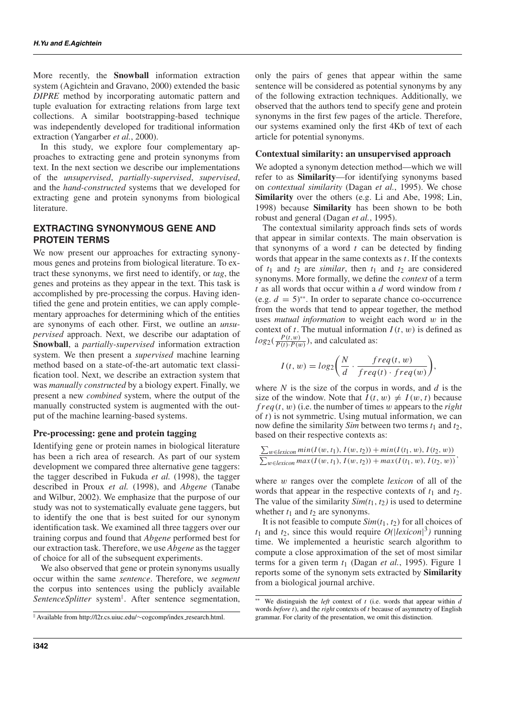More recently, the **Snowball** information extraction system (Agichtein and Gravano, 2000) extended the basic *DIPRE* method by incorporating automatic pattern and tuple evaluation for extracting relations from large text collections. A similar bootstrapping-based technique was independently developed for traditional information extraction (Yangarber *et al.*, 2000).

In this study, we explore four complementary approaches to extracting gene and protein synonyms from text. In the next section we describe our implementations of the *unsupervised*, *partially-supervised*, *supervised*, and the *hand-constructed* systems that we developed for extracting gene and protein synonyms from biological literature.

## **EXTRACTING SYNONYMOUS GENE AND PROTEIN TERMS**

We now present our approaches for extracting synonymous genes and proteins from biological literature. To extract these synonyms, we first need to identify, or *tag*, the genes and proteins as they appear in the text. This task is accomplished by pre-processing the corpus. Having identified the gene and protein entities, we can apply complementary approaches for determining which of the entities are synonyms of each other. First, we outline an *unsupervised* approach. Next, we describe our adaptation of **Snowball**, a *partially-supervised* information extraction system. We then present a *supervised* machine learning method based on a state-of-the-art automatic text classification tool. Next, we describe an extraction system that was *manually constructed* by a biology expert. Finally, we present a new *combined* system, where the output of the manually constructed system is augmented with the output of the machine learning-based systems.

## **Pre-processing: gene and protein tagging**

Identifying gene or protein names in biological literature has been a rich area of research. As part of our system development we compared three alternative gene taggers: the tagger described in Fukuda *et al.* (1998), the tagger described in Proux *et al.* (1998), and *Abgene* (Tanabe and Wilbur, 2002). We emphasize that the purpose of our study was not to systematically evaluate gene taggers, but to identify the one that is best suited for our synonym identification task. We examined all three taggers over our training corpus and found that *Abgene* performed best for our extraction task. Therefore, we use *Abgene* as the tagger of choice for all of the subsequent experiments.

We also observed that gene or protein synonyms usually occur within the same *sentence*. Therefore, we *segment* the corpus into sentences using the publicly available *SentenceSplitter* system . After sentence segmentation,

Available from http://l2r.cs.uiuc.edu/∼cogcomp/index research.html.

only the pairs of genes that appear within the same sentence will be considered as potential synonyms by any of the following extraction techniques. Additionally, we observed that the authors tend to specify gene and protein synonyms in the first few pages of the article. Therefore, our systems examined only the first 4Kb of text of each article for potential synonyms.

## **Contextual similarity: an unsupervised approach**

We adopted a synonym detection method—which we will refer to as **Similarity**—for identifying synonyms based on *contextual similarity* (Dagan *et al.*, 1995). We chose **Similarity** over the others (e.g. Li and Abe, 1998; Lin, 1998) because **Similarity** has been shown to be both robust and general (Dagan *et al.*, 1995).

The contextual similarity approach finds sets of words that appear in similar contexts. The main observation is that synonyms of a word  $t$  can be detected by finding words that appear in the same contexts as *t*. If the contexts of  $t_1$  and  $t_2$  are *similar*, then  $t_1$  and  $t_2$  are considered synonyms. More formally, we define the *context* of a term *t* as all words that occur within a *d* word window from *t* (e.g.  $d = 5$ )<sup>\*\*</sup>. In order to separate chance co-occurrence from the words that tend to appear together, the method uses *mutual information* to weight each word w in the context of *t*. The mutual information  $I(t, w)$  is defined as  $log_2(\frac{P(t, w)}{P(t) \cdot P(w)})$ , and calculated as:

$$
I(t, w) = log_2\left(\frac{N}{d} \cdot \frac{freq(t, w)}{freq(t) \cdot freq(w)}\right),
$$

where *N* is the size of the corpus in words, and *d* is the size of the window. Note that  $I(t, w) \neq I(w, t)$  because  $freq(t, w)$  (i.e. the number of times w appears to the *right* of *t*) is not symmetric. Using mutual information, we can now define the similarity *Sim* between two terms *t*<sup>1</sup> and *t*2, based on their respective contexts as:

$$
\frac{\sum_{w \in lexicon} min(I(w, t_1), I(w, t_2)) + min(I(t_1, w), I(t_2, w))}{\sum_{w \in lexicon} max(I(w, t_1), I(w, t_2)) + max(I(t_1, w), I(t_2, w))},
$$

where w ranges over the complete *lexicon* of all of the words that appear in the respective contexts of  $t_1$  and  $t_2$ . The value of the similarity  $Sim(t_1, t_2)$  is used to determine whether  $t_1$  and  $t_2$  are synonyms.

It is not feasible to compute  $Sim(t_1, t_2)$  for all choices of  $t_1$  and  $t_2$ , since this would require  $O(|lexicon|^3)$  running time. We implemented a heuristic search algorithm to compute a close approximation of the set of most similar terms for a given term  $t_1$  (Dagan *et al.*, 1995). Figure 1 reports some of the synonym sets extracted by **Similarity** from a biological journal archive.

<sup>∗∗</sup> We distinguish the *left* context of *t* (i.e. words that appear within *d* words *before t*), and the *right* contexts of *t* because of asymmetry of English grammar. For clarity of the presentation, we omit this distinction.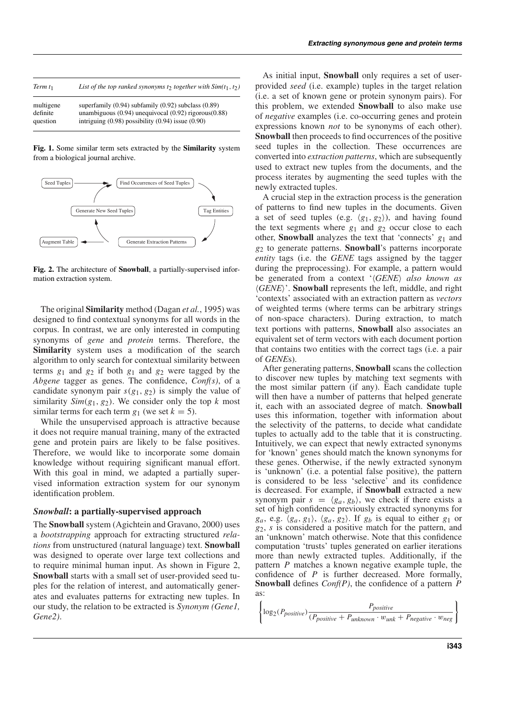| Term $t_1$ | List of the top ranked synonyms to together with $Sim(t_1, t_2)$ |
|------------|------------------------------------------------------------------|
| multigene  | superfamily $(0.94)$ subfamily $(0.92)$ subclass $(0.89)$        |
| definite   | unambiguous $(0.94)$ unequivocal $(0.92)$ rigorous $(0.88)$      |
| question   | intriguing $(0.98)$ possibility $(0.94)$ issue $(0.90)$          |

**Fig. 1.** Some similar term sets extracted by the **Similarity** system from a biological journal archive.



**Fig. 2.** The architecture of **Snowball**, a partially-supervised information extraction system.

The original **Similarity** method (Dagan *et al.*, 1995) was designed to find contextual synonyms for all words in the corpus. In contrast, we are only interested in computing synonyms of *gene* and *protein* terms. Therefore, the Similarity system uses a modification of the search algorithm to only search for contextual similarity between terms  $g_1$  and  $g_2$  if both  $g_1$  and  $g_2$  were tagged by the *Abgene* tagger as genes. The confidence, *Conf(s)*, of a candidate synonym pair  $s(g_1, g_2)$  is simply the value of similarity *Sim*( $g_1, g_2$ ). We consider only the top *k* most similar terms for each term  $g_1$  (we set  $k = 5$ ).

While the unsupervised approach is attractive because it does not require manual training, many of the extracted gene and protein pairs are likely to be false positives. Therefore, we would like to incorporate some domain knowledge without requiring significant manual effort. With this goal in mind, we adapted a partially supervised information extraction system for our synonym identification problem.

### *Snowball***: a partially-supervised approach**

The **Snowball** system (Agichtein and Gravano, 2000) uses a *bootstrapping* approach for extracting structured *relations* from unstructured (natural language) text. **Snowball** was designed to operate over large text collections and to require minimal human input. As shown in Figure 2, **Snowball** starts with a small set of user-provided seed tuples for the relation of interest, and automatically generates and evaluates patterns for extracting new tuples. In our study, the relation to be extracted is *Synonym (Gene1, Gene2)*.

As initial input, **Snowball** only requires a set of userprovided *seed* (i.e. example) tuples in the target relation (i.e. a set of known gene or protein synonym pairs). For this problem, we extended **Snowball** to also make use of *negative* examples (i.e. co-occurring genes and protein expressions known *not* to be synonyms of each other). **Snowball** then proceeds to find occurrences of the positive seed tuples in the collection. These occurrences are converted into *extraction patterns*, which are subsequently used to extract new tuples from the documents, and the process iterates by augmenting the seed tuples with the newly extracted tuples.

A crucial step in the extraction process is the generation of patterns to find new tuples in the documents. Given a set of seed tuples (e.g.  $\langle g_1, g_2 \rangle$ ), and having found the text segments where  $g_1$  and  $g_2$  occur close to each other, **Snowball** analyzes the text that 'connects' *g*<sup>1</sup> and *g*<sup>2</sup> to generate patterns. **Snowball**'s patterns incorporate *entity* tags (i.e. the *GENE* tags assigned by the tagger during the preprocessing). For example, a pattern would be generated from a context '(GENE) also known as *GENE*'. **Snowball** represents the left, middle, and right 'contexts' associated with an extraction pattern as *vectors* of weighted terms (where terms can be arbitrary strings of non-space characters). During extraction, to match text portions with patterns, **Snowball** also associates an equivalent set of term vectors with each document portion that contains two entities with the correct tags (i.e. a pair of *GENE*s).

After generating patterns, **Snowball** scans the collection to discover new tuples by matching text segments with the most similar pattern (if any). Each candidate tuple will then have a number of patterns that helped generate it, each with an associated degree of match. **Snowball** uses this information, together with information about the selectivity of the patterns, to decide what candidate tuples to actually add to the table that it is constructing. Intuitively, we can expect that newly extracted synonyms for 'known' genes should match the known synonyms for these genes. Otherwise, if the newly extracted synonym is 'unknown' (i.e. a potential false positive), the pattern is considered to be less 'selective' and its confidence is decreased. For example, if **Snowball** extracted a new synonym pair  $s = \langle g_a, g_b \rangle$ , we check if there exists a set of high confidence previously extracted synonyms for  $g_a$ , e.g.  $\langle g_a, g_1 \rangle$ ,  $\langle g_a, g_2 \rangle$ . If  $g_b$  is equal to either  $g_1$  or *g*2, *s* is considered a positive match for the pattern, and an 'unknown' match otherwise. Note that this confidence computation 'trusts' tuples generated on earlier iterations more than newly extracted tuples. Additionally, if the pattern *P* matches a known negative example tuple, the confidence of *P* is further decreased. More formally, **Snowball** defines *Conf(P)*, the confidence of a pattern *P* as:

 $\sqrt{ }$  $\left| \log_2(P_{positive}) \frac{P_{positive}}{(P_{positive} + P_{unknown} \cdot w_{unk} + P_{negative} \cdot w_{neg}\right) \right|$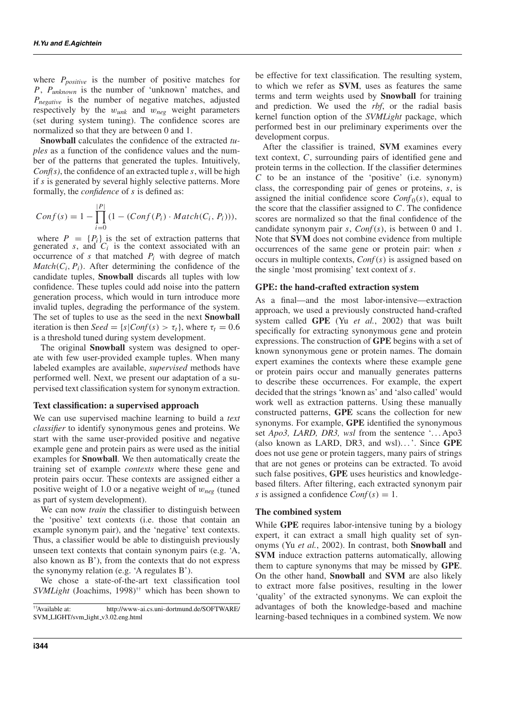where *Ppositive* is the number of positive matches for *P*, *Punknown* is the number of 'unknown' matches, and *P<sub>negative</sub>* is the number of negative matches, adjusted respectively by the w*unk* and w*neg* weight parameters (set during system tuning). The confidence scores are normalized so that they are between 0 and 1.

**Snowball** calculates the confidence of the extracted *tuples* as a function of the confidence values and the number of the patterns that generated the tuples. Intuitively, *Conf(s)*, the confidence of an extracted tuple *s*, will be high if *s* is generated by several highly selective patterns. More formally, the *confidence* of *s* is defined as:

$$
Conf(s) = 1 - \prod_{i=0}^{|P|} (1 - (Conf(P_i) \cdot Match(C_i, P_i))),
$$

where  $P = \{P_i\}$  is the set of extraction patterns that generated *s*, and  $C_i$  is the context associated with an occurrence of  $s$  that matched  $P_i$  with degree of match  $Match(C_i, P_i)$ . After determining the confidence of the candidate tuples, **Snowball** discards all tuples with low confidence. These tuples could add noise into the pattern generation process, which would in turn introduce more invalid tuples, degrading the performance of the system. The set of tuples to use as the seed in the next **Snowball** iteration is then *Seed* = { $s|Conf(s) > \tau_t$ }, where  $\tau_t = 0.6$ is a threshold tuned during system development.

The original **Snowball** system was designed to operate with few user-provided example tuples. When many labeled examples are available, *supervised* methods have performed well. Next, we present our adaptation of a supervised text classification system for synonym extraction.

### **Text classification: a supervised approach**

We can use supervised machine learning to build a *text classifier* to identify synonymous genes and proteins. We start with the same user-provided positive and negative example gene and protein pairs as were used as the initial examples for **Snowball**. We then automatically create the training set of example *contexts* where these gene and protein pairs occur. These contexts are assigned either a positive weight of 1.0 or a negative weight of w*neg* (tuned as part of system development).

We can now *train* the classifier to distinguish between the 'positive' text contexts (i.e. those that contain an example synonym pair), and the 'negative' text contexts. Thus, a classifier would be able to distinguish previously unseen text contexts that contain synonym pairs (e.g. 'A, also known as B'), from the contexts that do not express the synonymy relation (e.g. 'A regulates B').

We chose a state-of-the-art text classification tool *SVMLight* (Joachims, 1998)†† which has been shown to be effective for text classification. The resulting system, to which we refer as **SVM**, uses as features the same terms and term weights used by **Snowball** for training and prediction. We used the *rbf*, or the radial basis kernel function option of the *SVMLight* package, which performed best in our preliminary experiments over the development corpus.

After the classifier is trained, **SVM** examines every text context, *C*, surrounding pairs of identified gene and protein terms in the collection. If the classifier determines *C* to be an instance of the 'positive' (i.e. synonym) class, the corresponding pair of genes or proteins, *s*, is assigned the initial confidence score  $Conf_0(s)$ , equal to the score that the classifier assigned to *C*. The confidence scores are normalized so that the final confidence of the candidate synonym pair *s*, *Conf*(*s*), is between 0 and 1. Note that **SVM** does not combine evidence from multiple occurrences of the same gene or protein pair: when *s* occurs in multiple contexts, *Conf*(*s*) is assigned based on the single 'most promising' text context of *s*.

#### **GPE: the hand-crafted extraction system**

As a final—and the most labor-intensive—extraction approach, we used a previously constructed hand-crafted system called **GPE** (Yu *et al.*, 2002) that was built specifically for extracting synonymous gene and protein expressions. The construction of **GPE** begins with a set of known synonymous gene or protein names. The domain expert examines the contexts where these example gene or protein pairs occur and manually generates patterns to describe these occurrences. For example, the expert decided that the strings 'known as' and 'also called' would work well as extraction patterns. Using these manually constructed patterns, **GPE** scans the collection for new synonyms. For example, **GPE** identified the synonymous set *Apo3*, *LARD*, *DR3*, *wsl* from the sentence '... Apo3 (also known as LARD, DR3, and wsl). . .'. Since **GPE** does not use gene or protein taggers, many pairs of strings that are not genes or proteins can be extracted. To avoid such false positives, **GPE** uses heuristics and knowledgebased filters. After filtering, each extracted synonym pair *s* is assigned a confidence  $Conf(s) = 1$ .

#### **The combined system**

While **GPE** requires labor-intensive tuning by a biology expert, it can extract a small high quality set of synonyms (Yu *et al.*, 2002). In contrast, both **Snowball** and **SVM** induce extraction patterns automatically, allowing them to capture synonyms that may be missed by **GPE**. On the other hand, **Snowball** and **SVM** are also likely to extract more false positives, resulting in the lower 'quality' of the extracted synonyms. We can exploit the advantages of both the knowledge-based and machine learning-based techniques in a combined system. We now

<sup>††</sup>Available at: http://www-ai.cs.uni-dortmund.de/SOFTWARE/ SVM LIGHT/svm light v3.02.eng.html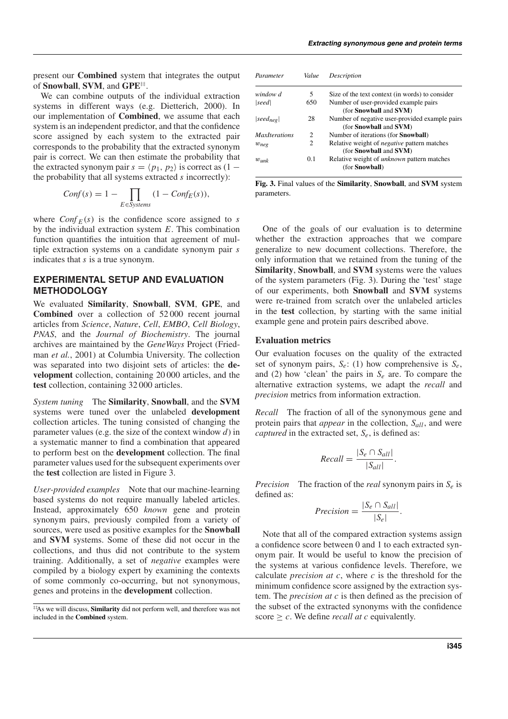present our **Combined** system that integrates the output of **Snowball**, **SVM**, and **GPE**‡‡.

We can combine outputs of the individual extraction systems in different ways (e.g. Dietterich, 2000). In our implementation of **Combined**, we assume that each system is an independent predictor, and that the confidence score assigned by each system to the extracted pair corresponds to the probability that the extracted synonym pair is correct. We can then estimate the probability that the extracted synonym pair  $s = \langle p_1, p_2 \rangle$  is correct as  $(1$ the probability that all systems extracted *s* incorrectly):

$$
Conf(s) = 1 - \prod_{E \in Systems} (1 - Conf_E(s)),
$$

where  $Conf_E(s)$  is the confidence score assigned to *s* by the individual extraction system *E*. This combination function quantifies the intuition that agreement of multiple extraction systems on a candidate synonym pair *s* indicates that *s* is a true synonym.

## **EXPERIMENTAL SETUP AND EVALUATION METHODOLOGY**

We evaluated **Similarity**, **Snowball**, **SVM**, **GPE**, and **Combined** over a collection of 52 000 recent journal articles from *Science*, *Nature*, *Cell*, *EMBO*, *Cell Biology*, *PNAS*, and the *Journal of Biochemistry*. The journal archives are maintained by the *GeneWays* Project (Friedman *et al.*, 2001) at Columbia University. The collection was separated into two disjoint sets of articles: the **development** collection, containing 20 000 articles, and the **test** collection, containing 32 000 articles.

*System tuning* The **Similarity**, **Snowball**, and the **SVM** systems were tuned over the unlabeled **development** collection articles. The tuning consisted of changing the parameter values (e.g. the size of the context window *d*) in a systematic manner to find a combination that appeared to perform best on the **development** collection. The final parameter values used for the subsequent experiments over the **test** collection are listed in Figure 3.

*User-provided examples* Note that our machine-learning based systems do not require manually labeled articles. Instead, approximately 650 *known* gene and protein synonym pairs, previously compiled from a variety of sources, were used as positive examples for the **Snowball** and **SVM** systems. Some of these did not occur in the collections, and thus did not contribute to the system training. Additionally, a set of *negative* examples were compiled by a biology expert by examining the contexts of some commonly co-occurring, but not synonymous, genes and proteins in the **development** collection.

| Parameter            | Value          | Description                                                                                 |
|----------------------|----------------|---------------------------------------------------------------------------------------------|
| window d             | 5              | Size of the text context (in words) to consider                                             |
| seed                 | 650            | Number of user-provided example pairs<br>(for <b>Snowball</b> and <b>SVM</b> )              |
| $ seed_{neq} $       | 28             | Number of negative user-provided example pairs<br>(for <b>Snowball</b> and <b>SVM</b> )     |
| <i>MaxIterations</i> | 2              | Number of iterations (for <b>Snowball</b> )                                                 |
| $w_{neq}$            | $\overline{c}$ | Relative weight of <i>negative</i> pattern matches<br>(for <b>Snowball</b> and <b>SVM</b> ) |
| $w_{unk}$            | 0.1            | Relative weight of <i>unknown</i> pattern matches<br>(for Snowball)                         |

**Fig. 3.** Final values of the **Similarity**, **Snowball**, and **SVM** system parameters.

One of the goals of our evaluation is to determine whether the extraction approaches that we compare generalize to new document collections. Therefore, the only information that we retained from the tuning of the **Similarity**, **Snowball**, and **SVM** systems were the values of the system parameters (Fig. 3). During the 'test' stage of our experiments, both **Snowball** and **SVM** systems were re-trained from scratch over the unlabeled articles in the **test** collection, by starting with the same initial example gene and protein pairs described above.

## **Evaluation metrics**

Our evaluation focuses on the quality of the extracted set of synonym pairs, *Se*: (1) how comprehensive is *Se*, and (2) how 'clean' the pairs in *Se* are. To compare the alternative extraction systems, we adapt the *recall* and *precision* metrics from information extraction.

*Recall* The fraction of all of the synonymous gene and protein pairs that *appear* in the collection, *Sall*, and were *captured* in the extracted set, *Se*, is defined as:

$$
Recall = \frac{|S_e \cap S_{all}|}{|S_{all}|}.
$$

*Precision* The fraction of the *real* synonym pairs in *Se* is defined as:

$$
Precision = \frac{|S_e \cap S_{all}|}{|S_e|}.
$$

Note that all of the compared extraction systems assign a confidence score between 0 and 1 to each extracted synonym pair. It would be useful to know the precision of the systems at various confidence levels. Therefore, we calculate *precision at c*, where *c* is the threshold for the minimum confidence score assigned by the extraction system. The *precision at c* is then defined as the precision of the subset of the extracted synonyms with the confidence score  $\geq c$ . We define *recall at c* equivalently.

<sup>‡‡</sup>As we will discuss, **Similarity** did not perform well, and therefore was not included in the **Combined** system.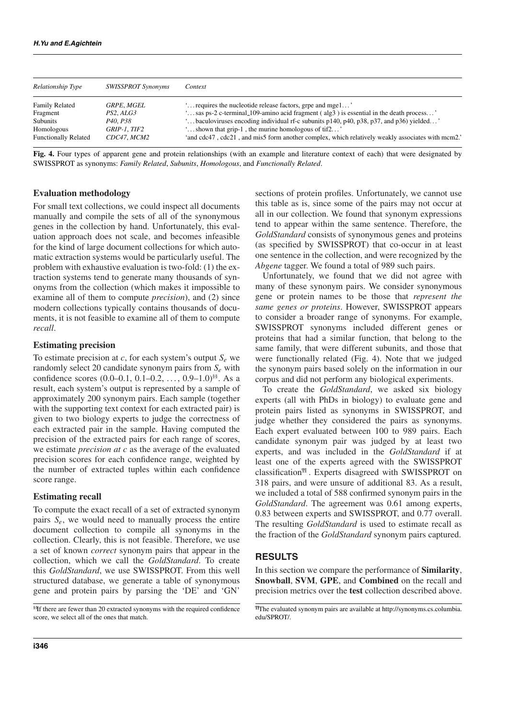| Relationship Type                                           | <b>SWISSPROT Synonyms</b>                           | Context                                                                                                                                                                                                                                                                                                     |
|-------------------------------------------------------------|-----------------------------------------------------|-------------------------------------------------------------------------------------------------------------------------------------------------------------------------------------------------------------------------------------------------------------------------------------------------------------|
| <b>Family Related</b><br>Fragment<br>Subunits<br>Homologous | GRPE. MGEL<br>PS2. ALG3<br>P40, P38<br>GRIP-1, TIF2 | ' requires the nucleotide release factors, grpe and mgel'<br>'sas ps-2 c-terminal_109-amino acid fragment (alg3) is essential in the death process'<br>'baculoviruses encoding individual rf-c subunits p140, p40, p38, p37, and p36) yielded'<br>shown that grip-1, the murine homologous of tif $2 \dots$ |
| <b>Functionally Related</b>                                 | CDC47. MCM2                                         | 'and cdc47, cdc21, and mis5 form another complex, which relatively weakly associates with mcm2.'                                                                                                                                                                                                            |

**Fig. 4.** Four types of apparent gene and protein relationships (with an example and literature context of each) that were designated by SWISSPROT as synonyms: *Family Related*, *Subunits*, *Homologous*, and *Functionally Related*.

## **Evaluation methodology**

For small text collections, we could inspect all documents manually and compile the sets of all of the synonymous genes in the collection by hand. Unfortunately, this evaluation approach does not scale, and becomes infeasible for the kind of large document collections for which automatic extraction systems would be particularly useful. The problem with exhaustive evaluation is two-fold: (1) the extraction systems tend to generate many thousands of synonyms from the collection (which makes it impossible to examine all of them to compute *precision*), and (2) since modern collections typically contains thousands of documents, it is not feasible to examine all of them to compute *recall*.

### **Estimating precision**

To estimate precision at *c*, for each system's output *Se* we randomly select 20 candidate synonym pairs from *Se* with confidence scores  $(0.0-0.1, 0.1-0.2, \ldots, 0.9-1.0)^{ss}$ . As a result, each system's output is represented by a sample of approximately 200 synonym pairs. Each sample (together with the supporting text context for each extracted pair) is given to two biology experts to judge the correctness of each extracted pair in the sample. Having computed the precision of the extracted pairs for each range of scores, we estimate *precision at c* as the average of the evaluated precision scores for each confidence range, weighted by the number of extracted tuples within each confidence score range.

### **Estimating recall**

To compute the exact recall of a set of extracted synonym pairs *Se*, we would need to manually process the entire document collection to compile all synonyms in the collection. Clearly, this is not feasible. Therefore, we use a set of known *correct* synonym pairs that appear in the collection, which we call the *GoldStandard*. To create this *GoldStandard*, we use SWISSPROT. From this well structured database, we generate a table of synonymous gene and protein pairs by parsing the 'DE' and 'GN'

§§If there are fewer than 20 extracted synonyms with the required confidence score, we select all of the ones that match.

sections of protein profiles. Unfortunately, we cannot use this table as is, since some of the pairs may not occur at all in our collection. We found that synonym expressions tend to appear within the same sentence. Therefore, the *GoldStandard* consists of synonymous genes and proteins (as specified by SWISSPROT) that co-occur in at least one sentence in the collection, and were recognized by the *Abgene* tagger. We found a total of 989 such pairs.

Unfortunately, we found that we did not agree with many of these synonym pairs. We consider synonymous gene or protein names to be those that *represent the same genes or proteins*. However, SWISSPROT appears to consider a broader range of synonyms. For example, SWISSPROT synonyms included different genes or proteins that had a similar function, that belong to the same family, that were different subunits, and those that were functionally related (Fig. 4). Note that we judged the synonym pairs based solely on the information in our corpus and did not perform any biological experiments.

To create the *GoldStandard*, we asked six biology experts (all with PhDs in biology) to evaluate gene and protein pairs listed as synonyms in SWISSPROT, and judge whether they considered the pairs as synonyms. Each expert evaluated between 100 to 989 pairs. Each candidate synonym pair was judged by at least two experts, and was included in the *GoldStandard* if at least one of the experts agreed with the SWISSPROT classification¶¶ . Experts disagreed with SWISSPROT on 318 pairs, and were unsure of additional 83. As a result, we included a total of 588 confirmed synonym pairs in the *GoldStandard*. The agreement was 0.61 among experts, 0.83 between experts and SWISSPROT, and 0.77 overall. The resulting *GoldStandard* is used to estimate recall as the fraction of the *GoldStandard* synonym pairs captured.

## **RESULTS**

In this section we compare the performance of **Similarity**, **Snowball**, **SVM**, **GPE**, and **Combined** on the recall and precision metrics over the **test** collection described above.

<sup>¶¶</sup>The evaluated synonym pairs are available at http://synonyms.cs.columbia. edu/SPROT/.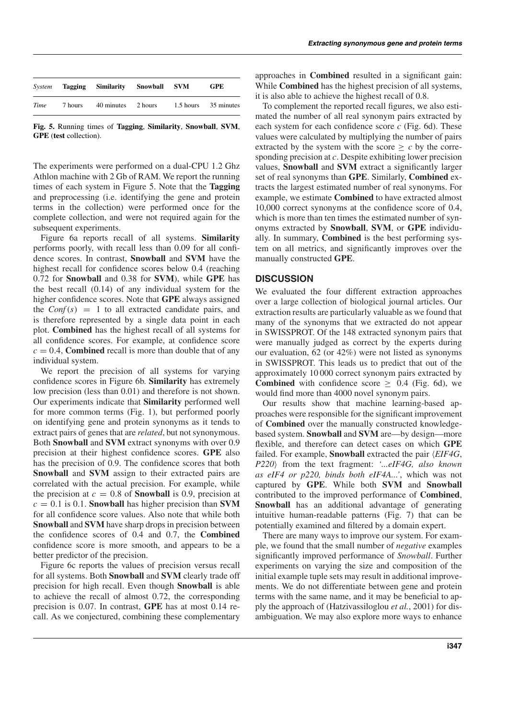| System |         | Tagging Similarity Snowball SVM |         |           | <b>GPE</b> |
|--------|---------|---------------------------------|---------|-----------|------------|
| Time   | 7 hours | 40 minutes                      | 2 hours | 1.5 hours | 35 minutes |

**Fig. 5.** Running times of **Tagging**, **Similarity**, **Snowball**, **SVM**, **GPE** (**test** collection).

The experiments were performed on a dual-CPU 1.2 Ghz Athlon machine with 2 Gb of RAM. We report the running times of each system in Figure 5. Note that the **Tagging** and preprocessing (i.e. identifying the gene and protein terms in the collection) were performed once for the complete collection, and were not required again for the subsequent experiments.

Figure 6a reports recall of all systems. **Similarity** performs poorly, with recall less than 0.09 for all confidence scores. In contrast, **Snowball** and **SVM** have the highest recall for confidence scores below 0.4 (reaching 0.72 for **Snowball** and 0.38 for **SVM**), while **GPE** has the best recall (0.14) of any individual system for the higher confidence scores. Note that **GPE** always assigned the  $Conf(s) = 1$  to all extracted candidate pairs, and is therefore represented by a single data point in each plot. **Combined** has the highest recall of all systems for all confidence scores. For example, at confidence score  $c = 0.4$ , **Combined** recall is more than double that of any individual system.

We report the precision of all systems for varying confidence scores in Figure 6b. **Similarity** has extremely low precision (less than 0.01) and therefore is not shown. Our experiments indicate that **Similarity** performed well for more common terms (Fig. 1), but performed poorly on identifying gene and protein synonyms as it tends to extract pairs of genes that are *related*, but not synonymous. Both **Snowball** and **SVM** extract synonyms with over 0.9 precision at their highest confidence scores. **GPE** also has the precision of 0.9. The confidence scores that both **Snowball** and **SVM** assign to their extracted pairs are correlated with the actual precision. For example, while the precision at  $c = 0.8$  of **Snowball** is 0.9, precision at  $c = 0.1$  is 0.1. **Snowball** has higher precision than **SVM** for all confidence score values. Also note that while both **Snowball** and **SVM** have sharp drops in precision between the confidence scores of 0.4 and 0.7, the **Combined** confidence score is more smooth, and appears to be a better predictor of the precision.

Figure 6c reports the values of precision versus recall for all systems. Both **Snowball** and **SVM** clearly trade off precision for high recall. Even though **Snowball** is able to achieve the recall of almost 0.72, the corresponding precision is 0.07. In contrast, **GPE** has at most 0.14 recall. As we conjectured, combining these complementary

approaches in **Combined** resulted in a significant gain: While **Combined** has the highest precision of all systems, it is also able to achieve the highest recall of 0.8.

To complement the reported recall figures, we also estimated the number of all real synonym pairs extracted by each system for each confidence score *c* (Fig. 6d). These values were calculated by multiplying the number of pairs extracted by the system with the score  $\geq c$  by the corresponding precision at *c*. Despite exhibiting lower precision values, **Snowball** and **SVM** extract a significantly larger set of real synonyms than **GPE**. Similarly, **Combined** extracts the largest estimated number of real synonyms. For example, we estimate **Combined** to have extracted almost 10,000 correct synonyms at the confidence score of 0.4, which is more than ten times the estimated number of synonyms extracted by **Snowball**, **SVM**, or **GPE** individually. In summary, **Combined** is the best performing system on all metrics, and significantly improves over the manually constructed **GPE**.

## **DISCUSSION**

We evaluated the four different extraction approaches over a large collection of biological journal articles. Our extraction results are particularly valuable as we found that many of the synonyms that we extracted do not appear in SWISSPROT. Of the 148 extracted synonym pairs that were manually judged as correct by the experts during our evaluation, 62 (or 42%) were not listed as synonyms in SWISSPROT. This leads us to predict that out of the approximately 10 000 correct synonym pairs extracted by **Combined** with confidence score  $> 0.4$  (Fig. 6d), we would find more than 4000 novel synonym pairs.

Our results show that machine learning-based approaches were responsible for the significant improvement of **Combined** over the manually constructed knowledgebased system. **Snowball** and **SVM** are—by design—more flexible, and therefore can detect cases on which **GPE** failed. For example, **Snowball** extracted the pair *EIF4G*, *P220* from the text fragment: *'...eIF4G, also known as eIF4 or p220, binds both eIF4A...'*, which was not captured by **GPE**. While both **SVM** and **Snowball** contributed to the improved performance of **Combined**, **Snowball** has an additional advantage of generating intuitive human-readable patterns (Fig. 7) that can be potentially examined and filtered by a domain expert.

There are many ways to improve our system. For example, we found that the small number of *negative* examples significantly improved performance of *Snowball*. Further experiments on varying the size and composition of the initial example tuple sets may result in additional improvements. We do not differentiate between gene and protein terms with the same name, and it may be beneficial to apply the approach of (Hatzivassiloglou *et al.*, 2001) for disambiguation. We may also explore more ways to enhance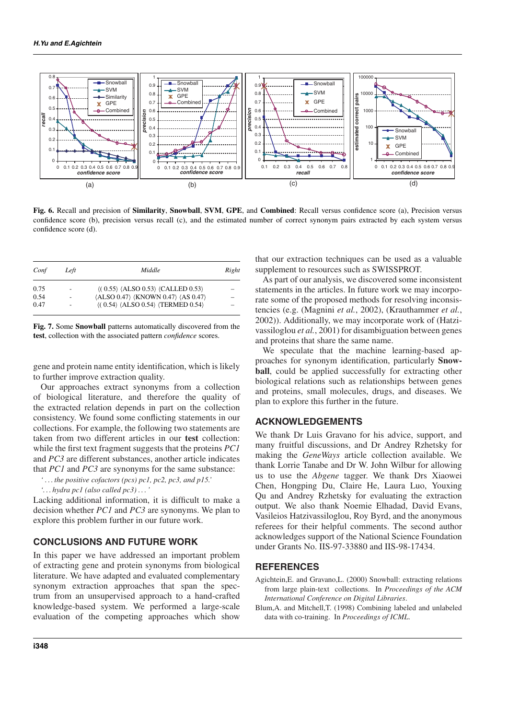

**Fig. 6.** Recall and precision of **Similarity**, **Snowball**, **SVM**, **GPE**, and **Combined**: Recall versus confidence score (a), Precision versus confidence score (b), precision versus recall (c), and the estimated number of correct synonym pairs extracted by each system versus confidence score (d).

| Conf | Left | Middle                                                                                   | Right |
|------|------|------------------------------------------------------------------------------------------|-------|
| 0.75 |      | $\langle (0.55) \rangle$ $\langle ALSO 0.53 \rangle$ $\langle CALLED 0.53 \rangle$       |       |
| 0.54 |      | $\langle$ ALSO 0.47 $\rangle$ $\langle$ KNOWN 0.47 $\rangle$ $\langle$ AS 0.47 $\rangle$ |       |
| 0.47 |      | $\langle (0.54) \langle ALSO 0.54 \rangle \langle TERMED 0.54 \rangle$                   |       |

**Fig. 7.** Some **Snowball** patterns automatically discovered from the **test**, collection with the associated pattern *confidence* scores.

gene and protein name entity identification, which is likely to further improve extraction quality.

Our approaches extract synonyms from a collection of biological literature, and therefore the quality of the extracted relation depends in part on the collection consistency. We found some conflicting statements in our collections. For example, the following two statements are taken from two different articles in our **test** collection: while the first text fragment suggests that the proteins *PC1* and *PC3* are different substances, another article indicates that *PC1* and *PC3* are synonyms for the same substance:

*' . . . the positive cofactors (pcs) pc1, pc2, pc3, and p15.'*

*'. . . hydra pc1 (also called pc3) . . .'*

Lacking additional information, it is difficult to make a decision whether *PC1* and *PC3* are synonyms. We plan to explore this problem further in our future work.

# **CONCLUSIONS AND FUTURE WORK**

In this paper we have addressed an important problem of extracting gene and protein synonyms from biological literature. We have adapted and evaluated complementary synonym extraction approaches that span the spectrum from an unsupervised approach to a hand-crafted knowledge-based system. We performed a large-scale evaluation of the competing approaches which show

that our extraction techniques can be used as a valuable supplement to resources such as SWISSPROT.

As part of our analysis, we discovered some inconsistent statements in the articles. In future work we may incorporate some of the proposed methods for resolving inconsistencies (e.g. (Magnini *et al.*, 2002), (Krauthammer *et al.*, 2002)). Additionally, we may incorporate work of (Hatzivassiloglou *et al.*, 2001) for disambiguation between genes and proteins that share the same name.

We speculate that the machine learning-based approaches for synonym identification, particularly **Snowball**, could be applied successfully for extracting other biological relations such as relationships between genes and proteins, small molecules, drugs, and diseases. We plan to explore this further in the future.

## **ACKNOWLEDGEMENTS**

We thank Dr Luis Gravano for his advice, support, and many fruitful discussions, and Dr Andrey Rzhetsky for making the *GeneWays* article collection available. We thank Lorrie Tanabe and Dr W. John Wilbur for allowing us to use the *Abgene* tagger. We thank Drs Xiaowei Chen, Hongping Du, Claire He, Laura Luo, Youxing Qu and Andrey Rzhetsky for evaluating the extraction output. We also thank Noemie Elhadad, David Evans, Vasileios Hatzivassiloglou, Roy Byrd, and the anonymous referees for their helpful comments. The second author acknowledges support of the National Science Foundation under Grants No. IIS-97-33880 and IIS-98-17434.

## **REFERENCES**

- Agichtein,E. and Gravano,L. (2000) Snowball: extracting relations from large plain-text collections. In *Proceedings of the ACM International Conference on Digital Libraries*.
- Blum,A. and Mitchell,T. (1998) Combining labeled and unlabeled data with co-training. In *Proceedings of ICML*.